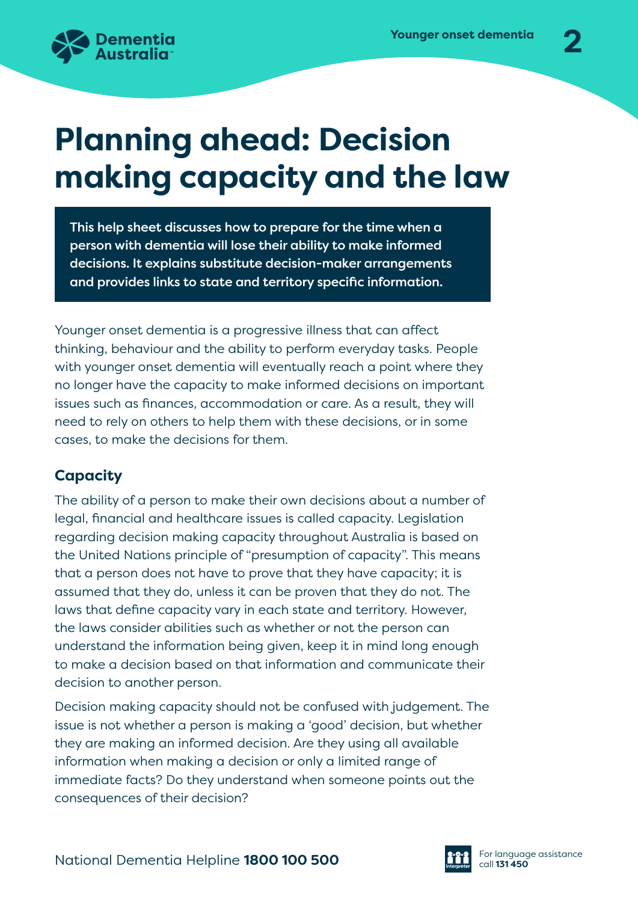

# **Planning ahead: Decision making capacity and the law**

This help sheet discusses how to prepare for the time when a person with dementia will lose their ability to make informed decisions. It explains substitute decision-maker arrangements and provides links to state and territory specific information.

Younger onset dementia is a progressive illness that can affect thinking, behaviour and the ability to perform everyday tasks. People with younger onset dementia will eventually reach a point where they no longer have the capacity to make informed decisions on important issues such as finances, accommodation or care. As a result, they will need to rely on others to help them with these decisions, or in some cases, to make the decisions for them.

### **Capacity**

The ability of a person to make their own decisions about a number of legal, financial and healthcare issues is called capacity. Legislation regarding decision making capacity throughout Australia is based on the United Nations principle of "presumption of capacity". This means that a person does not have to prove that they have capacity; it is assumed that they do, unless it can be proven that they do not. The laws that define capacity vary in each state and territory. However, the laws consider abilities such as whether or not the person can understand the information being given, keep it in mind long enough to make a decision based on that information and communicate their decision to another person.

Decision making capacity should not be confused with judgement. The issue is not whether a person is making a 'good' decision, but whether they are making an informed decision. Are they using all available information when making a decision or only a limited range of immediate facts? Do they understand when someone points out the consequences of their decision?

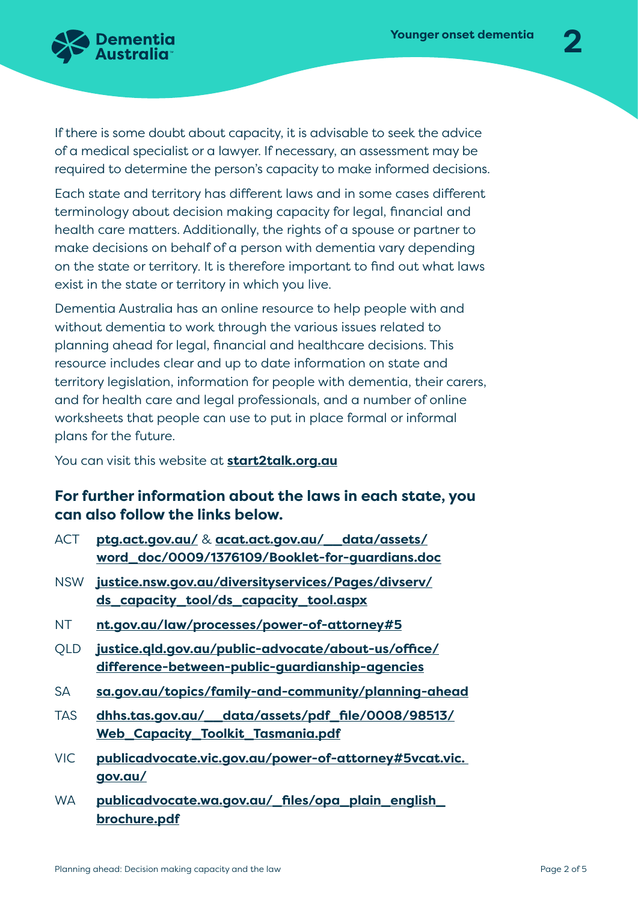

If there is some doubt about capacity, it is advisable to seek the advice of a medical specialist or a lawyer. If necessary, an assessment may be required to determine the person's capacity to make informed decisions.

Each state and territory has different laws and in some cases different terminology about decision making capacity for legal, financial and health care matters. Additionally, the rights of a spouse or partner to make decisions on behalf of a person with dementia vary depending on the state or territory. It is therefore important to find out what laws exist in the state or territory in which you live.

Dementia Australia has an online resource to help people with and without dementia to work through the various issues related to planning ahead for legal, financial and healthcare decisions. This resource includes clear and up to date information on state and territory legislation, information for people with dementia, their carers, and for health care and legal professionals, and a number of online worksheets that people can use to put in place formal or informal plans for the future.

You can visit this website at **[start2talk.org.au](http://dementia.org.au/information/about-dementia/planning-ahead-start2talk)**

#### **For further information about the laws in each state, you can also follow the links below.**

- ACT **[ptg.act.gov.au/](http://ptg.act.gov.au/)** & **[acat.act.gov.au/\\_\\_data/assets/](acat.act.gov.au/__data/assets/word_doc/0009/1376109/Booklet-for-guardians.doc) [word\\_doc/0009/1376109/Booklet-for-guardians.doc](acat.act.gov.au/__data/assets/word_doc/0009/1376109/Booklet-for-guardians.doc)**
- NSW **[justice.nsw.gov.au/diversityservices/Pages/divserv/](https://www.justice.nsw.gov.au/diversityservices/Pages/divserv/ds_capacity_tool/ds_capacity_tool.aspx) [ds\\_capacity\\_tool/ds\\_capacity\\_tool.aspx](https://www.justice.nsw.gov.au/diversityservices/Pages/divserv/ds_capacity_tool/ds_capacity_tool.aspx)**
- NT **[nt.gov.au/law/processes/power-of-attorney#5](http://nt.gov.au/law/processes/power-of-attorney#5)**
- QLD **[justice.qld.gov.au/public-advocate/about-us/office/](http://justice.qld.gov.au/public-advocate/about-us/office/difference-between-public-guardianship-agencies) [difference-between-public-guardianship-agencies](http://justice.qld.gov.au/public-advocate/about-us/office/difference-between-public-guardianship-agencies)**
- SA **[sa.gov.au/topics/family-and-community/planning-a](https://www.sa.gov.au/topics/family-and-community/planning-ahead)head**
- TAS **[dhhs.tas.gov.au/\\_\\_data/assets/pdf\\_file/0008/98513/](https://www.dhhs.tas.gov.au/__data/assets/pdf_file/0008/98513/Web_Capacity_Toolkit_Tasmania.pdf) [Web\\_Capacity\\_Toolkit\\_Tasmania.pdf](https://www.dhhs.tas.gov.au/__data/assets/pdf_file/0008/98513/Web_Capacity_Toolkit_Tasmania.pdf)**
- VIC **[publicadvocate.vic.gov.au/power-of-attorney#5vcat.vic.](https://www.publicadvocate.vic.gov.au/power-of-attorney#5vcat.vic.gov.au/)  [gov.au/](https://www.publicadvocate.vic.gov.au/power-of-attorney#5vcat.vic.gov.au/)**
- WA **[publicadvocate.wa.gov.au/\\_files/opa\\_plain\\_english\\_](https://www.publicadvocate.wa.gov.au/_files/opa_plain_english_brochure.pdf) [brochure.pdf](https://www.publicadvocate.wa.gov.au/_files/opa_plain_english_brochure.pdf)**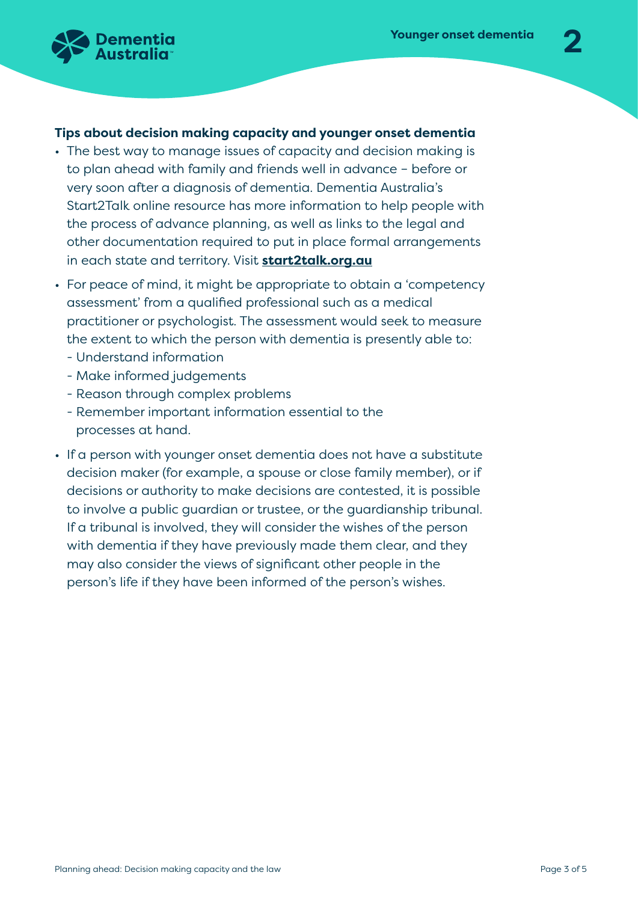

## **Tips about decision making capacity and younger onset dementia**

- The best way to manage issues of capacity and decision making is to plan ahead with family and friends well in advance – before or very soon after a diagnosis of dementia. Dementia Australia's Start2Talk online resource has more information to help people with the process of advance planning, as well as links to the legal and other documentation required to put in place formal arrangements in each state and territory. Visit **[start2talk.org.au](http://dementia.org.au/information/about-dementia/planning-ahead-start2talk)**
- For peace of mind, it might be appropriate to obtain a 'competency assessment' from a qualified professional such as a medical practitioner or psychologist. The assessment would seek to measure the extent to which the person with dementia is presently able to:
	- Understand information
	- Make informed judgements
	- Reason through complex problems
	- Remember important information essential to the processes at hand.
- If a person with younger onset dementia does not have a substitute decision maker (for example, a spouse or close family member), or if decisions or authority to make decisions are contested, it is possible to involve a public guardian or trustee, or the guardianship tribunal. If a tribunal is involved, they will consider the wishes of the person with dementia if they have previously made them clear, and they may also consider the views of significant other people in the person's life if they have been informed of the person's wishes.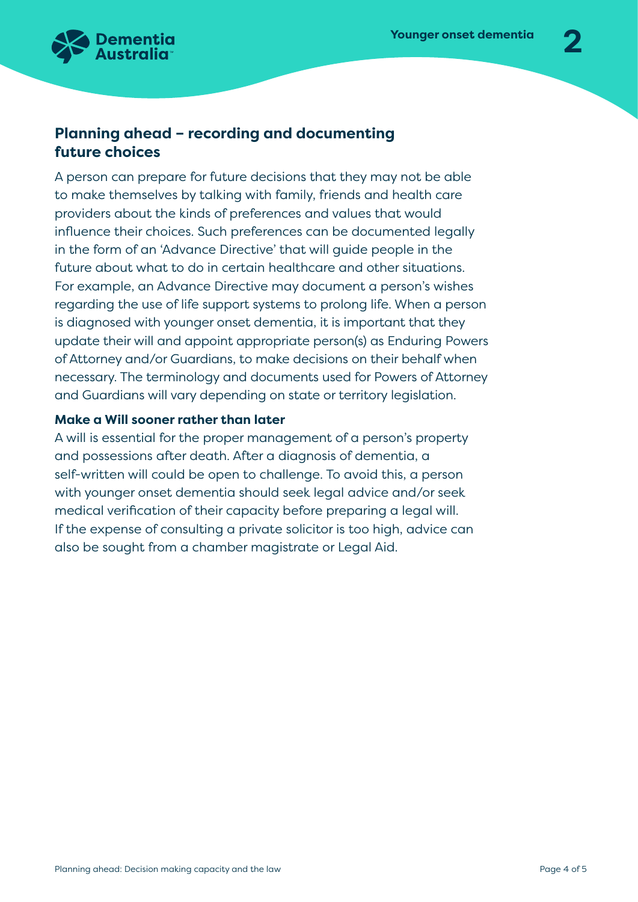

#### **Planning ahead – recording and documenting future choices**

A person can prepare for future decisions that they may not be able to make themselves by talking with family, friends and health care providers about the kinds of preferences and values that would influence their choices. Such preferences can be documented legally in the form of an 'Advance Directive' that will guide people in the future about what to do in certain healthcare and other situations. For example, an Advance Directive may document a person's wishes regarding the use of life support systems to prolong life. When a person is diagnosed with younger onset dementia, it is important that they update their will and appoint appropriate person(s) as Enduring Powers of Attorney and/or Guardians, to make decisions on their behalf when necessary. The terminology and documents used for Powers of Attorney and Guardians will vary depending on state or territory legislation.

#### **Make a Will sooner rather than later**

A will is essential for the proper management of a person's property and possessions after death. After a diagnosis of dementia, a self-written will could be open to challenge. To avoid this, a person with younger onset dementia should seek legal advice and/or seek medical verification of their capacity before preparing a legal will. If the expense of consulting a private solicitor is too high, advice can also be sought from a chamber magistrate or Legal Aid.